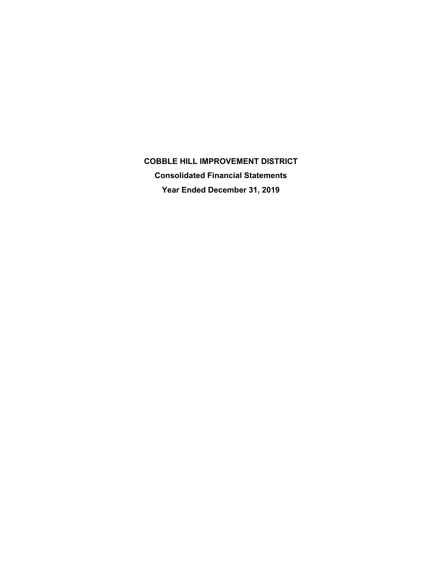**COBBLE HILL IMPROVEMENT DISTRICT Consolidated Financial Statements Year Ended December 31, 2019**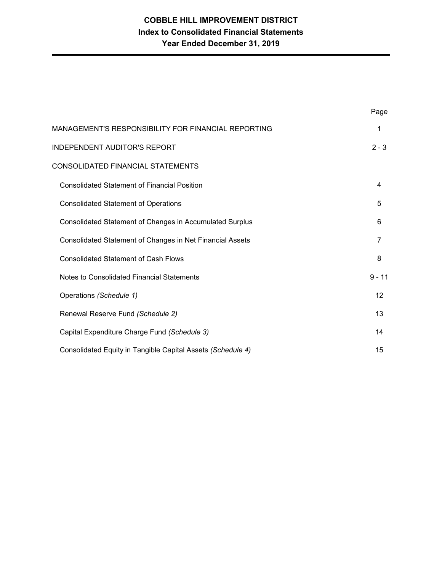# **COBBLE HILL IMPROVEMENT DISTRICT Index to Consolidated Financial Statements Year Ended December 31, 2019**

|                                                             | Page              |
|-------------------------------------------------------------|-------------------|
| MANAGEMENT'S RESPONSIBILITY FOR FINANCIAL REPORTING         | 1                 |
| INDEPENDENT AUDITOR'S REPORT                                | $2 - 3$           |
| CONSOLIDATED FINANCIAL STATEMENTS                           |                   |
| <b>Consolidated Statement of Financial Position</b>         | 4                 |
| <b>Consolidated Statement of Operations</b>                 | 5                 |
| Consolidated Statement of Changes in Accumulated Surplus    | 6                 |
| Consolidated Statement of Changes in Net Financial Assets   | 7                 |
| <b>Consolidated Statement of Cash Flows</b>                 | 8                 |
| Notes to Consolidated Financial Statements                  | $9 - 11$          |
| Operations (Schedule 1)                                     | $12 \overline{ }$ |
| Renewal Reserve Fund (Schedule 2)                           | 13                |
| Capital Expenditure Charge Fund (Schedule 3)                | 14                |
| Consolidated Equity in Tangible Capital Assets (Schedule 4) | 15                |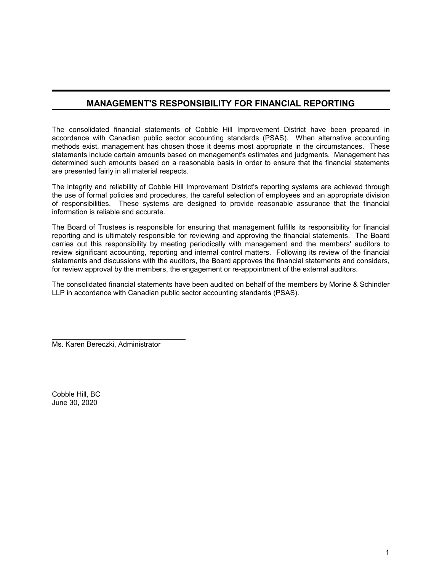### **MANAGEMENT'S RESPONSIBILITY FOR FINANCIAL REPORTING**

The consolidated financial statements of Cobble Hill Improvement District have been prepared in accordance with Canadian public sector accounting standards (PSAS). When alternative accounting methods exist, management has chosen those it deems most appropriate in the circumstances. These statements include certain amounts based on management's estimates and judgments. Management has determined such amounts based on a reasonable basis in order to ensure that the financial statements are presented fairly in all material respects.

The integrity and reliability of Cobble Hill Improvement District's reporting systems are achieved through the use of formal policies and procedures, the careful selection of employees and an appropriate division of responsibilities. These systems are designed to provide reasonable assurance that the financial information is reliable and accurate.

The Board of Trustees is responsible for ensuring that management fulfills its responsibility for financial reporting and is ultimately responsible for reviewing and approving the financial statements. The Board carries out this responsibility by meeting periodically with management and the members' auditors to review significant accounting, reporting and internal control matters. Following its review of the financial statements and discussions with the auditors, the Board approves the financial statements and considers, for review approval by the members, the engagement or re-appointment of the external auditors.

The consolidated financial statements have been audited on behalf of the members by Morine & Schindler LLP in accordance with Canadian public sector accounting standards (PSAS).

Ms. Karen Bereczki, Administrator

Cobble Hill, BC June 30, 2020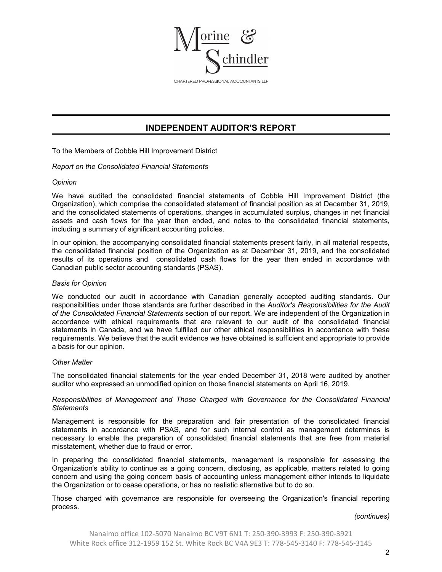

### **INDEPENDENT AUDITOR'S REPORT**

To the Members of Cobble Hill Improvement District

*Report on the Consolidated Financial Statements*

#### *Opinion*

We have audited the consolidated financial statements of Cobble Hill Improvement District (the Organization), which comprise the consolidated statement of financial position as at December 31, 2019, and the consolidated statements of operations, changes in accumulated surplus, changes in net financial assets and cash flows for the year then ended, and notes to the consolidated financial statements, including a summary of significant accounting policies.

In our opinion, the accompanying consolidated financial statements present fairly, in all material respects, the consolidated financial position of the Organization as at December 31, 2019, and the consolidated results of its operations and consolidated cash flows for the year then ended in accordance with Canadian public sector accounting standards (PSAS).

#### *Basis for Opinion*

We conducted our audit in accordance with Canadian generally accepted auditing standards. Our responsibilities under those standards are further described in the *Auditor's Responsibilities for the Audit of the Consolidated Financial Statements* section of our report. We are independent of the Organization in accordance with ethical requirements that are relevant to our audit of the consolidated financial statements in Canada, and we have fulfilled our other ethical responsibilities in accordance with these requirements. We believe that the audit evidence we have obtained is sufficient and appropriate to provide a basis for our opinion.

#### *Other Matter*

The consolidated financial statements for the year ended December 31, 2018 were audited by another auditor who expressed an unmodified opinion on those financial statements on April 16, 2019.

#### *Responsibilities of Management and Those Charged with Governance for the Consolidated Financial Statements*

Management is responsible for the preparation and fair presentation of the consolidated financial statements in accordance with PSAS, and for such internal control as management determines is necessary to enable the preparation of consolidated financial statements that are free from material misstatement, whether due to fraud or error.

In preparing the consolidated financial statements, management is responsible for assessing the Organization's ability to continue as a going concern, disclosing, as applicable, matters related to going concern and using the going concern basis of accounting unless management either intends to liquidate the Organization or to cease operations, or has no realistic alternative but to do so.

Those charged with governance are responsible for overseeing the Organization's financial reporting process.

*(continues)*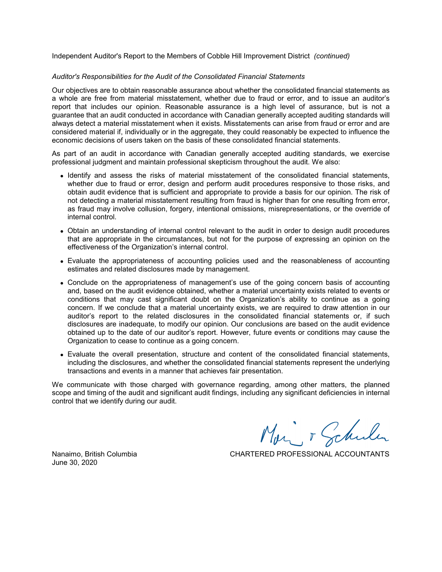Independent Auditor's Report to the Members of Cobble Hill Improvement District *(continued)*

#### *Auditor's Responsibilities for the Audit of the Consolidated Financial Statements*

Our objectives are to obtain reasonable assurance about whether the consolidated financial statements as a whole are free from material misstatement, whether due to fraud or error, and to issue an auditor's report that includes our opinion. Reasonable assurance is a high level of assurance, but is not a guarantee that an audit conducted in accordance with Canadian generally accepted auditing standards will always detect a material misstatement when it exists. Misstatements can arise from fraud or error and are considered material if, individually or in the aggregate, they could reasonably be expected to influence the economic decisions of users taken on the basis of these consolidated financial statements.

As part of an audit in accordance with Canadian generally accepted auditing standards, we exercise professional judgment and maintain professional skepticism throughout the audit. We also:

- Identify and assess the risks of material misstatement of the consolidated financial statements, whether due to fraud or error, design and perform audit procedures responsive to those risks, and obtain audit evidence that is sufficient and appropriate to provide a basis for our opinion. The risk of not detecting a material misstatement resulting from fraud is higher than for one resulting from error, as fraud may involve collusion, forgery, intentional omissions, misrepresentations, or the override of internal control.
- Obtain an understanding of internal control relevant to the audit in order to design audit procedures that are appropriate in the circumstances, but not for the purpose of expressing an opinion on the effectiveness of the Organization's internal control.
- Evaluate the appropriateness of accounting policies used and the reasonableness of accounting estimates and related disclosures made by management.
- Conclude on the appropriateness of management's use of the going concern basis of accounting and, based on the audit evidence obtained, whether a material uncertainty exists related to events or conditions that may cast significant doubt on the Organization's ability to continue as a going concern. If we conclude that a material uncertainty exists, we are required to draw attention in our auditor's report to the related disclosures in the consolidated financial statements or, if such disclosures are inadequate, to modify our opinion. Our conclusions are based on the audit evidence obtained up to the date of our auditor's report. However, future events or conditions may cause the Organization to cease to continue as a going concern.
- Evaluate the overall presentation, structure and content of the consolidated financial statements, including the disclosures, and whether the consolidated financial statements represent the underlying transactions and events in a manner that achieves fair presentation.

We communicate with those charged with governance regarding, among other matters, the planned scope and timing of the audit and significant audit findings, including any significant deficiencies in internal control that we identify during our audit.

Mar, 5 Schulen

June 30, 2020

Nanaimo, British Columbia CHARTERED PROFESSIONAL ACCOUNTANTS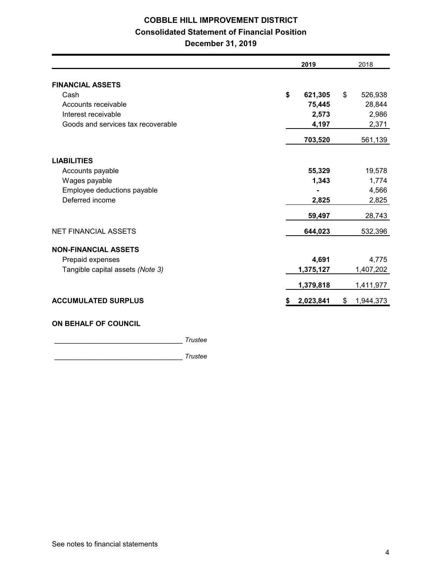# **COBBLE HILL IMPROVEMENT DISTRICT Consolidated Statement of Financial Position**

**December 31, 2019**

|                                    | 2019            |    | 2018      |  |
|------------------------------------|-----------------|----|-----------|--|
|                                    |                 |    |           |  |
| <b>FINANCIAL ASSETS</b>            |                 |    |           |  |
| Cash                               | \$<br>621,305   | \$ | 526,938   |  |
| Accounts receivable                | 75,445          |    | 28,844    |  |
| Interest receivable                | 2,573           |    | 2,986     |  |
| Goods and services tax recoverable | 4,197           |    | 2,371     |  |
|                                    | 703,520         |    | 561,139   |  |
| <b>LIABILITIES</b>                 |                 |    |           |  |
| Accounts payable                   | 55,329          |    | 19,578    |  |
| Wages payable                      | 1,343           |    | 1,774     |  |
| Employee deductions payable        |                 |    | 4,566     |  |
| Deferred income                    | 2,825           |    | 2,825     |  |
|                                    | 59,497          |    | 28,743    |  |
| <b>NET FINANCIAL ASSETS</b>        | 644,023         |    | 532,396   |  |
| <b>NON-FINANCIAL ASSETS</b>        |                 |    |           |  |
| Prepaid expenses                   | 4,691           |    | 4,775     |  |
| Tangible capital assets (Note 3)   | 1,375,127       |    | 1,407,202 |  |
|                                    | 1,379,818       |    | 1,411,977 |  |
| <b>ACCUMULATED SURPLUS</b>         | \$<br>2,023,841 | \$ | 1,944,373 |  |
| ON BEHALF OF COUNCIL               |                 |    |           |  |

\_\_\_\_\_\_\_\_\_\_\_\_\_\_\_\_\_\_\_\_\_\_\_\_\_\_\_\_\_ *Trustee*

\_\_\_\_\_\_\_\_\_\_\_\_\_\_\_\_\_\_\_\_\_\_\_\_\_\_\_\_\_ *Trustee*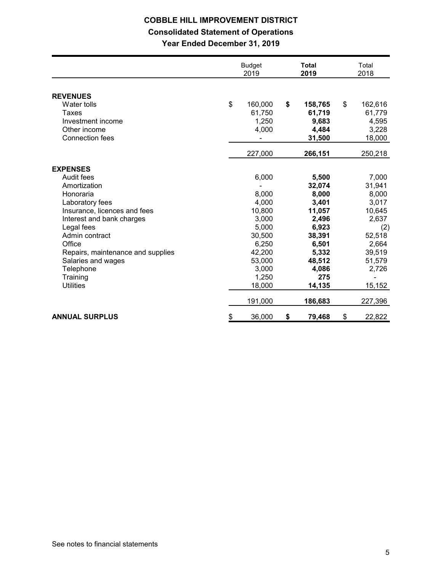# **COBBLE HILL IMPROVEMENT DISTRICT Consolidated Statement of Operations Year Ended December 31, 2019**

|                                   | <b>Budget</b><br>2019 | <b>Total</b><br>2019 | Total<br>2018 |
|-----------------------------------|-----------------------|----------------------|---------------|
| <b>REVENUES</b>                   |                       |                      |               |
| Water tolls                       | \$<br>160,000         | \$<br>158,765        | \$<br>162,616 |
| Taxes                             | 61,750                | 61,719               | 61,779        |
| Investment income                 | 1,250                 | 9,683                | 4,595         |
| Other income                      | 4,000                 | 4,484                | 3,228         |
| Connection fees                   |                       | 31,500               | 18,000        |
|                                   | 227,000               | 266,151              | 250,218       |
| <b>EXPENSES</b>                   |                       |                      |               |
| Audit fees                        | 6,000                 | 5,500                | 7,000         |
| Amortization                      |                       | 32,074               | 31,941        |
| Honoraria                         | 8,000                 | 8,000                | 8,000         |
| Laboratory fees                   | 4,000                 | 3,401                | 3,017         |
| Insurance, licences and fees      | 10,800                | 11,057               | 10,645        |
| Interest and bank charges         | 3,000                 | 2,496                | 2,637         |
| Legal fees                        | 5,000                 | 6,923                | (2)           |
| Admin contract                    | 30,500                | 38,391               | 52,518        |
| Office                            | 6,250                 | 6,501                | 2,664         |
| Repairs, maintenance and supplies | 42,200                | 5,332                | 39,519        |
| Salaries and wages                | 53,000                | 48,512               | 51,579        |
| Telephone                         | 3,000                 | 4,086                | 2,726         |
| Training                          | 1,250                 | 275                  |               |
| <b>Utilities</b>                  | 18,000                | 14,135               | 15,152        |
|                                   | 191,000               | 186,683              | 227,396       |
| <b>ANNUAL SURPLUS</b>             | \$<br>36,000          | \$<br>79,468         | \$<br>22,822  |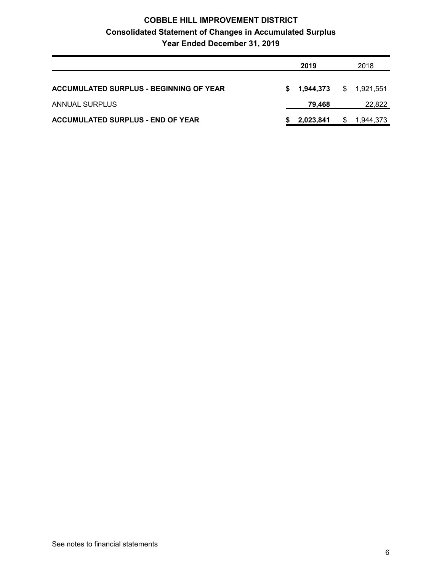# **COBBLE HILL IMPROVEMENT DISTRICT Consolidated Statement of Changes in Accumulated Surplus Year Ended December 31, 2019**

|                                                | 2019         | 2018         |
|------------------------------------------------|--------------|--------------|
| <b>ACCUMULATED SURPLUS - BEGINNING OF YEAR</b> | \$ 1,944,373 | \$ 1,921,551 |
| ANNUAL SURPLUS                                 | 79,468       | 22,822       |
| <b>ACCUMULATED SURPLUS - END OF YEAR</b>       | \$2,023,841  | \$ 1,944,373 |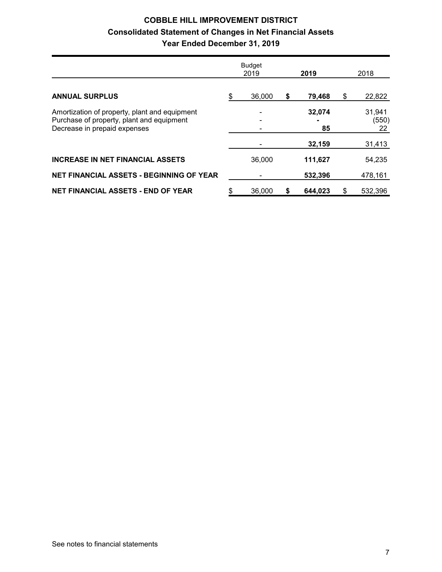# **COBBLE HILL IMPROVEMENT DISTRICT Consolidated Statement of Changes in Net Financial Assets Year Ended December 31, 2019**

|                                                                                                                            | <b>Budget</b><br>2019 | 2019          | 2018                  |
|----------------------------------------------------------------------------------------------------------------------------|-----------------------|---------------|-----------------------|
| <b>ANNUAL SURPLUS</b>                                                                                                      | \$<br>36,000          | \$<br>79,468  | \$<br>22,822          |
| Amortization of property, plant and equipment<br>Purchase of property, plant and equipment<br>Decrease in prepaid expenses |                       | 32,074<br>85  | 31,941<br>(550)<br>22 |
|                                                                                                                            |                       | 32,159        | 31,413                |
| <b>INCREASE IN NET FINANCIAL ASSETS</b>                                                                                    | 36,000                | 111,627       | 54,235                |
| NET FINANCIAL ASSETS - BEGINNING OF YEAR                                                                                   |                       | 532,396       | 478,161               |
| <b>NET FINANCIAL ASSETS - END OF YEAR</b>                                                                                  | 36,000                | \$<br>644.023 | \$<br>532,396         |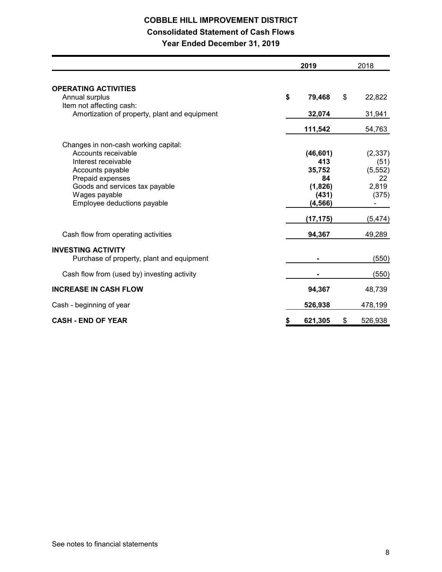# **COBBLE HILL IMPROVEMENT DISTRICT Consolidated Statement of Cash Flows Year Ended December 31, 2019**

|                                                                           | 2019              | 2018           |
|---------------------------------------------------------------------------|-------------------|----------------|
| <b>OPERATING ACTIVITIES</b>                                               |                   |                |
| Annual surplus                                                            | \$<br>79,468      | \$<br>22,822   |
| Item not affecting cash:<br>Amortization of property, plant and equipment | 32,074            | 31,941         |
|                                                                           | 111,542           | 54,763         |
| Changes in non-cash working capital:                                      |                   |                |
| Accounts receivable                                                       | (46, 601)         | (2, 337)       |
| Interest receivable                                                       | 413               | (51)           |
| Accounts payable                                                          | 35,752            | (5, 552)       |
| Prepaid expenses                                                          | 84                | 22             |
| Goods and services tax payable<br>Wages payable                           | (1,826)           | 2,819<br>(375) |
| Employee deductions payable                                               | (431)<br>(4, 566) |                |
|                                                                           | (17, 175)         | (5, 474)       |
| Cash flow from operating activities                                       | 94,367            | 49,289         |
| <b>INVESTING ACTIVITY</b><br>Purchase of property, plant and equipment    |                   | (550)          |
| Cash flow from (used by) investing activity                               |                   | (550)          |
| <b>INCREASE IN CASH FLOW</b>                                              | 94,367            | 48,739         |
| Cash - beginning of year                                                  | 526,938           | 478,199        |
| <b>CASH - END OF YEAR</b>                                                 | \$<br>621,305     | \$<br>526,938  |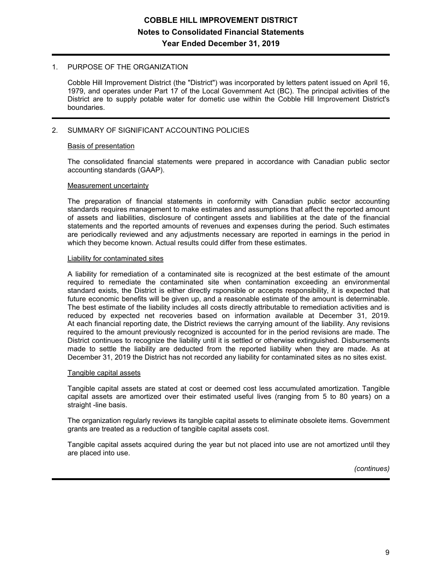### 1. PURPOSE OF THE ORGANIZATION

Cobble Hill Improvement District (the "District") was incorporated by letters patent issued on April 16, 1979, and operates under Part 17 of the Local Government Act (BC). The principal activities of the District are to supply potable water for dometic use within the Cobble Hill Improvement District's boundaries.

### 2. SUMMARY OF SIGNIFICANT ACCOUNTING POLICIES

#### Basis of presentation

The consolidated financial statements were prepared in accordance with Canadian public sector accounting standards (GAAP).

#### Measurement uncertainty

The preparation of financial statements in conformity with Canadian public sector accounting standards requires management to make estimates and assumptions that affect the reported amount of assets and liabilities, disclosure of contingent assets and liabilities at the date of the financial statements and the reported amounts of revenues and expenses during the period. Such estimates are periodically reviewed and any adjustments necessary are reported in earnings in the period in which they become known. Actual results could differ from these estimates.

#### Liability for contaminated sites

A liability for remediation of a contaminated site is recognized at the best estimate of the amount required to remediate the contaminated site when contamination exceeding an environmental standard exists, the District is either directly rsponsible or accepts responsibility, it is expected that future economic benefits will be given up, and a reasonable estimate of the amount is determinable. The best estimate of the liability includes all costs directly attributable to remediation activities and is reduced by expected net recoveries based on information available at December 31, 2019. At each financial reporting date, the District reviews the carrying amount of the liability. Any revisions required to the amount previously recognized is accounted for in the period revisions are made. The District continues to recognize the liability until it is settled or otherwise extinguished. Disbursements made to settle the liability are deducted from the reported liability when they are made. As at December 31, 2019 the District has not recorded any liability for contaminated sites as no sites exist.

#### Tangible capital assets

Tangible capital assets are stated at cost or deemed cost less accumulated amortization. Tangible capital assets are amortized over their estimated useful lives (ranging from 5 to 80 years) on a straight -line basis.

The organization regularly reviews its tangible capital assets to eliminate obsolete items. Government grants are treated as a reduction of tangible capital assets cost.

Tangible capital assets acquired during the year but not placed into use are not amortized until they are placed into use.

*(continues)*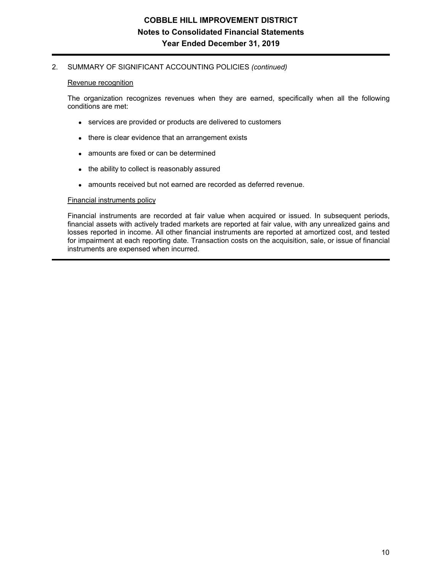### 2. SUMMARY OF SIGNIFICANT ACCOUNTING POLICIES *(continued)*

### Revenue recognition

The organization recognizes revenues when they are earned, specifically when all the following conditions are met:

- services are provided or products are delivered to customers
- there is clear evidence that an arrangement exists
- amounts are fixed or can be determined
- the ability to collect is reasonably assured
- amounts received but not earned are recorded as deferred revenue.

### Financial instruments policy

Financial instruments are recorded at fair value when acquired or issued. In subsequent periods, financial assets with actively traded markets are reported at fair value, with any unrealized gains and losses reported in income. All other financial instruments are reported at amortized cost, and tested for impairment at each reporting date. Transaction costs on the acquisition, sale, or issue of financial instruments are expensed when incurred.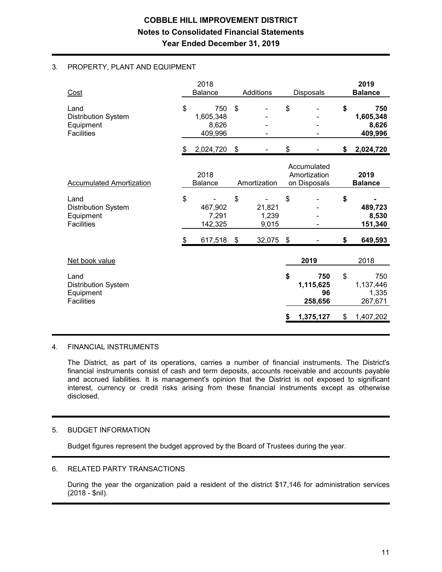### **COBBLE HILL IMPROVEMENT DISTRICT Notes to Consolidated Financial Statements Year Ended December 31, 2019**

### 3. PROPERTY, PLANT AND EQUIPMENT

| Cost                                                                 | 2018<br><b>Balance</b>                     | Additions                      | <b>Disposals</b>                            | 2019<br><b>Balance</b>                     |
|----------------------------------------------------------------------|--------------------------------------------|--------------------------------|---------------------------------------------|--------------------------------------------|
| Land<br><b>Distribution System</b><br>Equipment<br><b>Facilities</b> | \$<br>750<br>1,605,348<br>8,626<br>409,996 | \$                             | \$                                          | \$<br>750<br>1,605,348<br>8,626<br>409,996 |
|                                                                      | \$<br>2,024,720                            | \$                             | \$                                          | \$<br>2,024,720                            |
| <b>Accumulated Amortization</b>                                      | 2018<br><b>Balance</b>                     | Amortization                   | Accumulated<br>Amortization<br>on Disposals | 2019<br><b>Balance</b>                     |
| Land<br><b>Distribution System</b><br>Equipment<br><b>Facilities</b> | \$<br>467,902<br>7,291<br>142,325          | \$<br>21,821<br>1,239<br>9,015 | \$                                          | \$<br>489,723<br>8,530<br>151,340          |
|                                                                      | \$<br>617,518                              | \$<br>32,075                   | \$                                          | \$<br>649,593                              |
| Net book value                                                       |                                            |                                | 2019                                        | 2018                                       |
| Land<br><b>Distribution System</b><br>Equipment<br>Facilities        |                                            |                                | \$<br>750<br>1,115,625<br>96<br>258,656     | \$<br>750<br>1,137,446<br>1,335<br>267,671 |
|                                                                      |                                            |                                | \$<br>1,375,127                             | \$<br>1,407,202                            |

### 4. FINANCIAL INSTRUMENTS

The District, as part of its operations, carries a number of financial instruments. The District's financial instruments consist of cash and term deposits, accounts receivable and accounts payable and accrued liabilities. It is management's opinion that the District is not exposed to significant interest, currency or credit risks arising from these financial instruments except as otherwise disclosed.

### 5. BUDGET INFORMATION

Budget figures represent the budget approved by the Board of Trustees during the year.

### 6. RELATED PARTY TRANSACTIONS

During the year the organization paid a resident of the district \$17,146 for administration services (2018 - \$nil).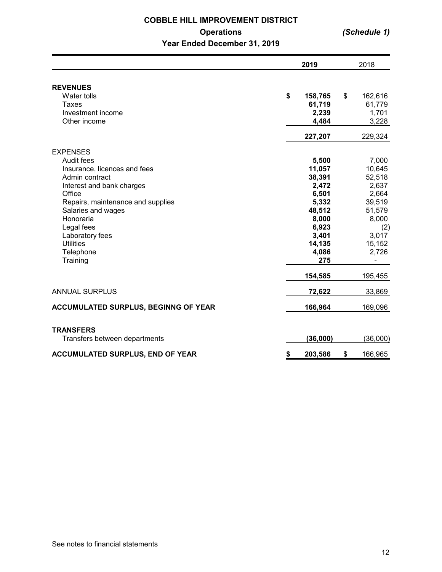# **COBBLE HILL IMPROVEMENT DISTRICT Operations** *(Schedule 1)* **Year Ended December 31, 2019**

|                                                                                                                                                                                                                                                                              | 2019                                                                                                                           | 2018                                                                                                                                                   |
|------------------------------------------------------------------------------------------------------------------------------------------------------------------------------------------------------------------------------------------------------------------------------|--------------------------------------------------------------------------------------------------------------------------------|--------------------------------------------------------------------------------------------------------------------------------------------------------|
| <b>REVENUES</b><br>Water tolls<br><b>Taxes</b><br>Investment income<br>Other income                                                                                                                                                                                          | \$<br>158,765<br>61,719<br>2,239<br>4,484                                                                                      | \$<br>162,616<br>61,779<br>1,701<br>3,228                                                                                                              |
|                                                                                                                                                                                                                                                                              | 227,207                                                                                                                        | 229,324                                                                                                                                                |
| <b>EXPENSES</b><br>Audit fees<br>Insurance, licences and fees<br>Admin contract<br>Interest and bank charges<br>Office<br>Repairs, maintenance and supplies<br>Salaries and wages<br>Honoraria<br>Legal fees<br>Laboratory fees<br><b>Utilities</b><br>Telephone<br>Training | 5,500<br>11,057<br>38,391<br>2,472<br>6,501<br>5,332<br>48,512<br>8,000<br>6,923<br>3,401<br>14,135<br>4,086<br>275<br>154,585 | 7,000<br>10,645<br>52,518<br>2,637<br>2,664<br>39,519<br>51,579<br>8,000<br>(2)<br>3,017<br>15,152<br>2,726<br>$\qquad \qquad \blacksquare$<br>195,455 |
| <b>ANNUAL SURPLUS</b>                                                                                                                                                                                                                                                        | 72,622                                                                                                                         | 33,869                                                                                                                                                 |
| ACCUMULATED SURPLUS, BEGINNG OF YEAR                                                                                                                                                                                                                                         | 166,964                                                                                                                        | 169,096                                                                                                                                                |
| <b>TRANSFERS</b><br>Transfers between departments                                                                                                                                                                                                                            | (36,000)                                                                                                                       | (36,000)                                                                                                                                               |
| <b>ACCUMULATED SURPLUS, END OF YEAR</b>                                                                                                                                                                                                                                      | \$<br>203,586                                                                                                                  | \$<br>166,965                                                                                                                                          |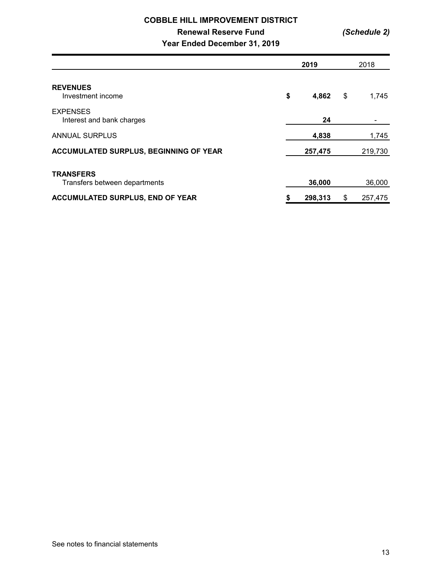# **COBBLE HILL IMPROVEMENT DISTRICT Renewal Reserve Fund** *(Schedule 2)* **Year Ended December 31, 2019**

|                                                   | 2019          |    | 2018    |  |
|---------------------------------------------------|---------------|----|---------|--|
| <b>REVENUES</b><br>Investment income              | \$<br>4,862   | \$ | 1,745   |  |
| <b>EXPENSES</b><br>Interest and bank charges      | 24            |    |         |  |
| <b>ANNUAL SURPLUS</b>                             | 4,838         |    | 1,745   |  |
| ACCUMULATED SURPLUS, BEGINNING OF YEAR            | 257,475       |    | 219,730 |  |
| <b>TRANSFERS</b><br>Transfers between departments | 36,000        |    | 36,000  |  |
| <b>ACCUMULATED SURPLUS, END OF YEAR</b>           | \$<br>298,313 | \$ | 257,475 |  |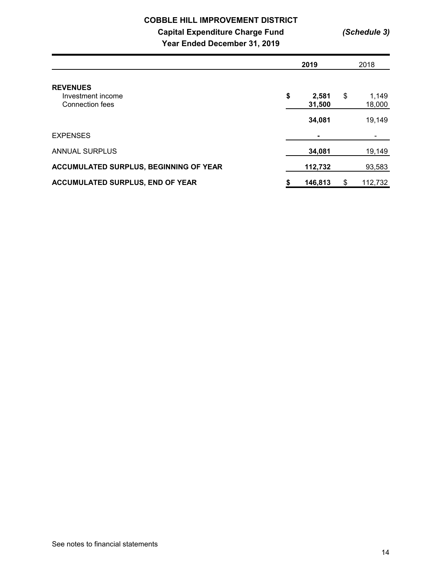# **COBBLE HILL IMPROVEMENT DISTRICT Capital Expenditure Charge Fund** *(Schedule 3)* **Year Ended December 31, 2019**

|                                                         | 2019                  | 2018                  |
|---------------------------------------------------------|-----------------------|-----------------------|
| <b>REVENUES</b><br>Investment income<br>Connection fees | \$<br>2,581<br>31,500 | \$<br>1,149<br>18,000 |
|                                                         | 34,081                | 19,149                |
| <b>EXPENSES</b>                                         |                       |                       |
| <b>ANNUAL SURPLUS</b>                                   | 34,081                | 19,149                |
| ACCUMULATED SURPLUS, BEGINNING OF YEAR                  | 112,732               | 93,583                |
| ACCUMULATED SURPLUS, END OF YEAR                        | \$<br>146,813         | \$<br>112,732         |